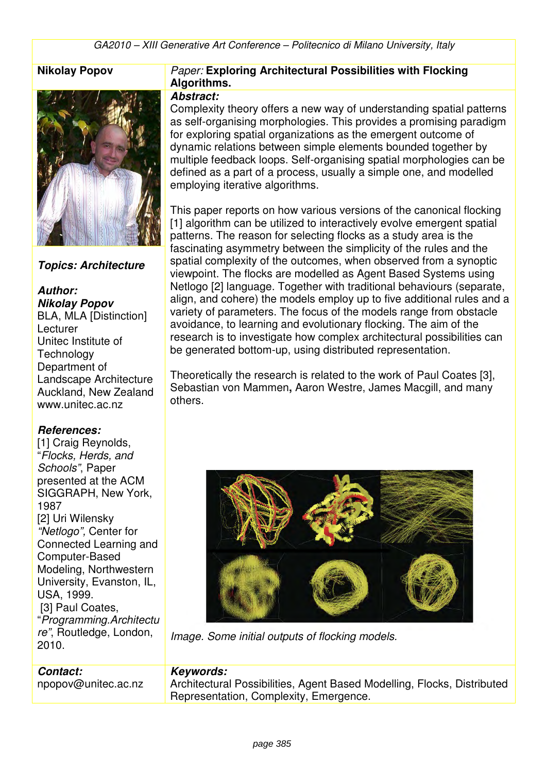

#### **Topics: Architecture**

**Author: Nikolay Popov**  BLA, MLA [Distinction] Lecturer Unitec Institute of **Technology** Department of Landscape Architecture Auckland, New Zealand www.unitec.ac.nz

#### **References:**

[1] Craig Reynolds, "Flocks, Herds, and Schools", Paper presented at the ACM SIGGRAPH, New York, 1987 [2] Uri Wilensky "Netlogo", Center for Connected Learning and Computer-Based Modeling, Northwestern University, Evanston, IL, USA, 1999. [3] Paul Coates, "Programming.Architectu re", Routledge, London, 2010.

**Contact:**  npopov@unitec.ac.nz

#### **Nikolay Popov** Paper: **Exploring Architectural Possibilities with Flocking Algorithms.**

#### **Abstract:**

Complexity theory offers a new way of understanding spatial patterns as self-organising morphologies. This provides a promising paradigm for exploring spatial organizations as the emergent outcome of dynamic relations between simple elements bounded together by multiple feedback loops. Self-organising spatial morphologies can be defined as a part of a process, usually a simple one, and modelled employing iterative algorithms.

This paper reports on how various versions of the canonical flocking [1] algorithm can be utilized to interactively evolve emergent spatial patterns. The reason for selecting flocks as a study area is the fascinating asymmetry between the simplicity of the rules and the spatial complexity of the outcomes, when observed from a synoptic viewpoint. The flocks are modelled as Agent Based Systems using Netlogo [2] language. Together with traditional behaviours (separate, align, and cohere) the models employ up to five additional rules and a variety of parameters. The focus of the models range from obstacle avoidance, to learning and evolutionary flocking. The aim of the research is to investigate how complex architectural possibilities can be generated bottom-up, using distributed representation.

Theoretically the research is related to the work of Paul Coates [3], Sebastian von Mammen**,** Aaron Westre, James Macgill, and many others.



Image. Some initial outputs of flocking models.

## **Keywords:**

Architectural Possibilities, Agent Based Modelling, Flocks, Distributed Representation, Complexity, Emergence.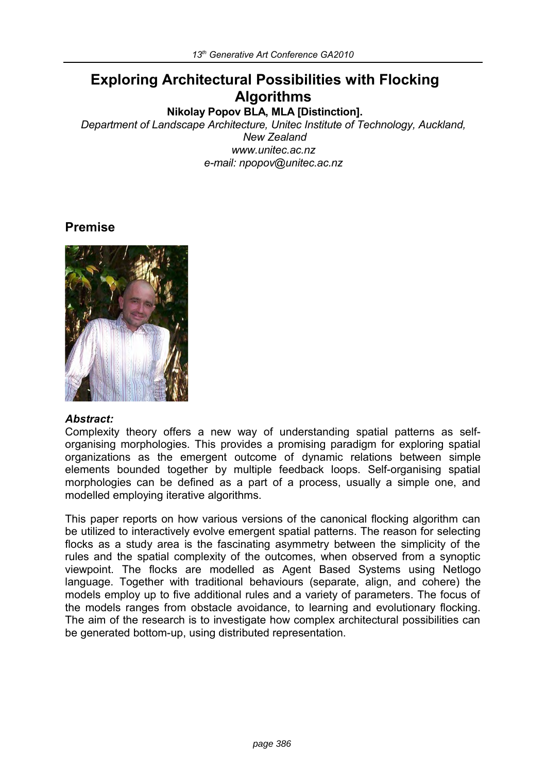# **Exploring Architectural Possibilities with Flocking Algorithms**

**Nikolay Popov BLA, MLA [Distinction].**

*Department of Landscape Architecture, Unitec Institute of Technology, Auckland, New Zealand www.unitec.ac.nz e-mail: npopov@unitec.ac.nz*

## **Premise**



#### *Abstract:*

Complexity theory offers a new way of understanding spatial patterns as selforganising morphologies. This provides a promising paradigm for exploring spatial organizations as the emergent outcome of dynamic relations between simple elements bounded together by multiple feedback loops. Self-organising spatial morphologies can be defined as a part of a process, usually a simple one, and modelled employing iterative algorithms.

This paper reports on how various versions of the canonical flocking algorithm can be utilized to interactively evolve emergent spatial patterns. The reason for selecting flocks as a study area is the fascinating asymmetry between the simplicity of the rules and the spatial complexity of the outcomes, when observed from a synoptic viewpoint. The flocks are modelled as Agent Based Systems using Netlogo language. Together with traditional behaviours (separate, align, and cohere) the models employ up to five additional rules and a variety of parameters. The focus of the models ranges from obstacle avoidance, to learning and evolutionary flocking. The aim of the research is to investigate how complex architectural possibilities can be generated bottom-up, using distributed representation.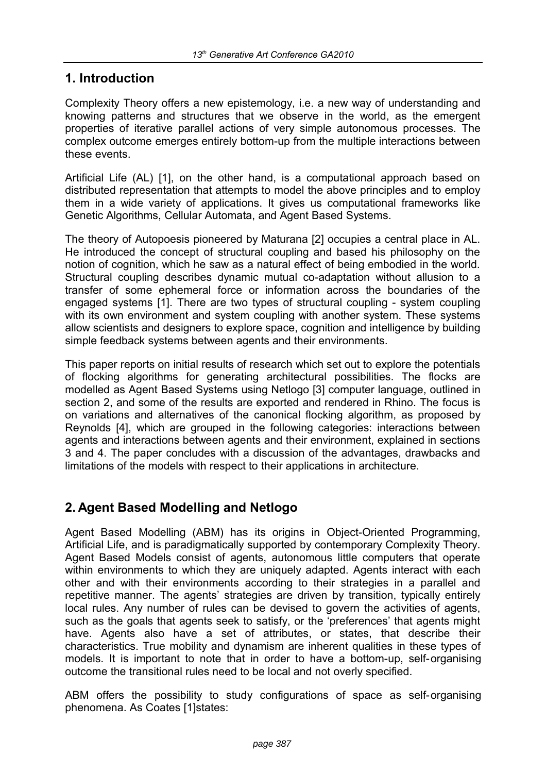## **1. Introduction**

Complexity Theory offers a new epistemology, i.e. a new way of understanding and knowing patterns and structures that we observe in the world, as the emergent properties of iterative parallel actions of very simple autonomous processes. The complex outcome emerges entirely bottom-up from the multiple interactions between these events.

Artificial Life (AL) [1], on the other hand, is a computational approach based on distributed representation that attempts to model the above principles and to employ them in a wide variety of applications. It gives us computational frameworks like Genetic Algorithms, Cellular Automata, and Agent Based Systems.

The theory of Autopoesis pioneered by Maturana [2] occupies a central place in AL. He introduced the concept of structural coupling and based his philosophy on the notion of cognition, which he saw as a natural effect of being embodied in the world. Structural coupling describes dynamic mutual co-adaptation without allusion to a transfer of some ephemeral force or information across the boundaries of the engaged systems [1]. There are two types of structural coupling - system coupling with its own environment and system coupling with another system. These systems allow scientists and designers to explore space, cognition and intelligence by building simple feedback systems between agents and their environments.

This paper reports on initial results of research which set out to explore the potentials of flocking algorithms for generating architectural possibilities. The flocks are modelled as Agent Based Systems using Netlogo [3] computer language, outlined in section 2, and some of the results are exported and rendered in Rhino. The focus is on variations and alternatives of the canonical flocking algorithm, as proposed by Reynolds [4], which are grouped in the following categories: interactions between agents and interactions between agents and their environment, explained in sections 3 and 4. The paper concludes with a discussion of the advantages, drawbacks and limitations of the models with respect to their applications in architecture.

## **2. Agent Based Modelling and Netlogo**

Agent Based Modelling (ABM) has its origins in Object-Oriented Programming, Artificial Life, and is paradigmatically supported by contemporary Complexity Theory. Agent Based Models consist of agents, autonomous little computers that operate within environments to which they are uniquely adapted. Agents interact with each other and with their environments according to their strategies in a parallel and repetitive manner. The agents' strategies are driven by transition, typically entirely local rules. Any number of rules can be devised to govern the activities of agents, such as the goals that agents seek to satisfy, or the 'preferences' that agents might have. Agents also have a set of attributes, or states, that describe their characteristics. True mobility and dynamism are inherent qualities in these types of models. It is important to note that in order to have a bottom-up, self-organising outcome the transitional rules need to be local and not overly specified.

ABM offers the possibility to study configurations of space as self-organising phenomena. As Coates [1]states: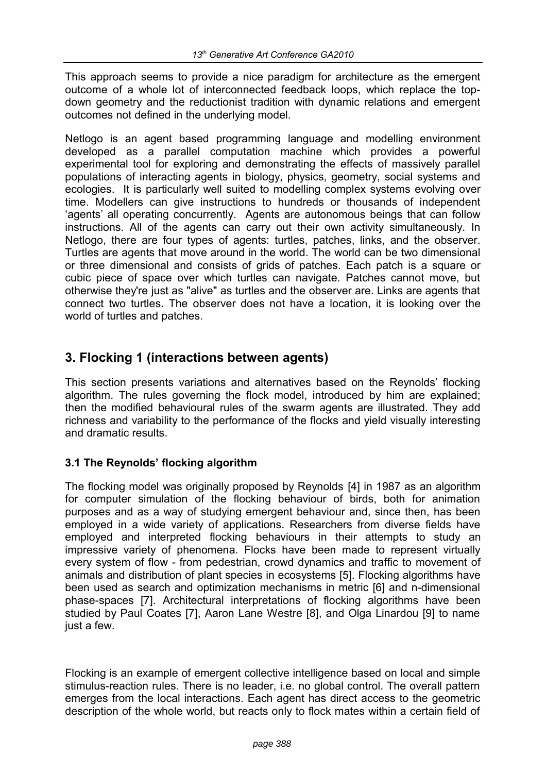This approach seems to provide a nice paradigm for architecture as the emergent outcome of a whole lot of interconnected feedback loops, which replace the topdown geometry and the reductionist tradition with dynamic relations and emergent outcomes not defined in the underlying model.

Netlogo is an agent based programming language and modelling environment developed as a parallel computation machine which provides a powerful experimental tool for exploring and demonstrating the effects of massively parallel populations of interacting agents in biology, physics, geometry, social systems and ecologies. It is particularly well suited to modelling complex systems evolving over time. Modellers can give instructions to hundreds or thousands of independent 'agents' all operating concurrently. Agents are autonomous beings that can follow instructions. All of the agents can carry out their own activity simultaneously. In Netlogo, there are four types of agents: turtles, patches, links, and the observer. Turtles are agents that move around in the world. The world can be two dimensional or three dimensional and consists of grids of patches. Each patch is a square or cubic piece of space over which turtles can navigate. Patches cannot move, but otherwise they're just as "alive" as turtles and the observer are. Links are agents that connect two turtles. The observer does not have a location, it is looking over the world of turtles and patches.

## **3. Flocking 1 (interactions between agents)**

This section presents variations and alternatives based on the Reynolds' flocking algorithm. The rules governing the flock model, introduced by him are explained; then the modified behavioural rules of the swarm agents are illustrated. They add richness and variability to the performance of the flocks and yield visually interesting and dramatic results.

### **3.1 The Reynolds' flocking algorithm**

The flocking model was originally proposed by Reynolds [4] in 1987 as an algorithm for computer simulation of the flocking behaviour of birds, both for animation purposes and as a way of studying emergent behaviour and, since then, has been employed in a wide variety of applications. Researchers from diverse fields have employed and interpreted flocking behaviours in their attempts to study an impressive variety of phenomena. Flocks have been made to represent virtually every system of flow - from pedestrian, crowd dynamics and traffic to movement of animals and distribution of plant species in ecosystems [5]. Flocking algorithms have been used as search and optimization mechanisms in metric [6] and n-dimensional phase-spaces [7]. Architectural interpretations of flocking algorithms have been studied by Paul Coates [7], Aaron Lane Westre [8], and Olga Linardou [9] to name just a few.

Flocking is an example of emergent collective intelligence based on local and simple stimulus-reaction rules. There is no leader, i.e. no global control. The overall pattern emerges from the local interactions. Each agent has direct access to the geometric description of the whole world, but reacts only to flock mates within a certain field of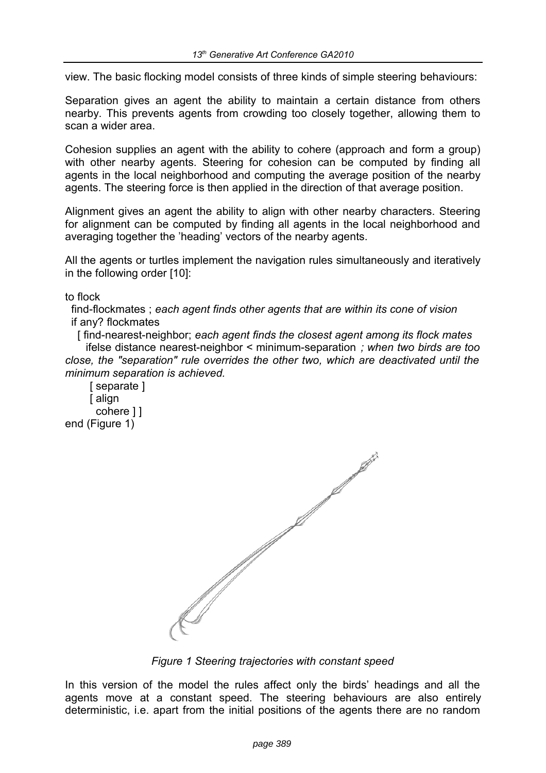view. The basic flocking model consists of three kinds of simple steering behaviours:

Separation gives an agent the ability to maintain a certain distance from others nearby. This prevents agents from crowding too closely together, allowing them to scan a wider area.

Cohesion supplies an agent with the ability to cohere (approach and form a group) with other nearby agents. Steering for cohesion can be computed by finding all agents in the local neighborhood and computing the average position of the nearby agents. The steering force is then applied in the direction of that average position.

Alignment gives an agent the ability to align with other nearby characters. Steering for alignment can be computed by finding all agents in the local neighborhood and averaging together the 'heading' vectors of the nearby agents.

All the agents or turtles implement the navigation rules simultaneously and iteratively in the following order [10]:

to flock

 find-flockmates ; *each agent finds other agents that are within its cone of vision* if any? flockmates

 [ find-nearest-neighbor; *each agent finds the closest agent among its flock mates* ifelse distance nearest-neighbor < minimum-separation *; when two birds are too close, the "separation" rule overrides the other two, which are deactivated until the minimum separation is achieved.* 

 [ separate ] [ align cohere ] ] end (Figure 1)

Septembris 1988. Septembris 1988. Septembris 1988. Septembris 1988. Septembris 1988. Septembris 1988. Septembris 1988. Septembris 1988. Septembris 1988. Septembris 1988. Septembris 1988. Septembris 1988. Septembris 1988. S

*Figure 1 Steering trajectories with constant speed*

In this version of the model the rules affect only the birds' headings and all the agents move at a constant speed. The steering behaviours are also entirely deterministic, i.e. apart from the initial positions of the agents there are no random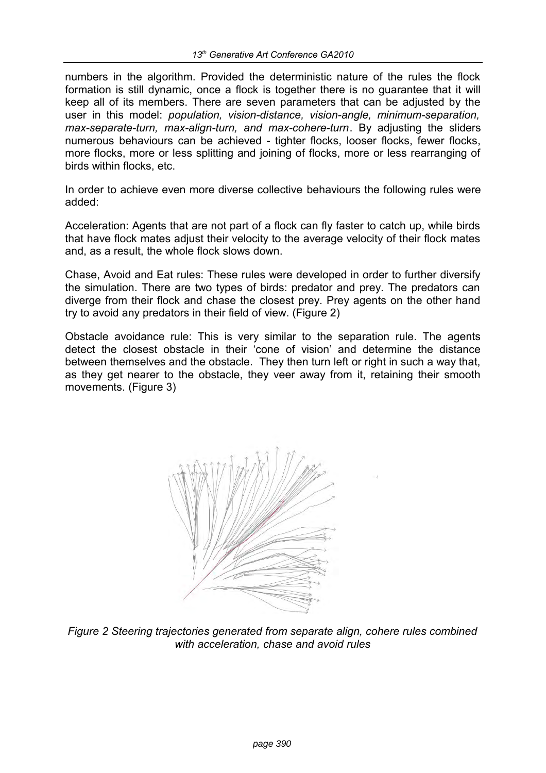numbers in the algorithm. Provided the deterministic nature of the rules the flock formation is still dynamic, once a flock is together there is no guarantee that it will keep all of its members. There are seven parameters that can be adjusted by the user in this model: *population, vision-distance, vision-angle, minimum-separation, max-separate-turn, max-align-turn, and max-cohere-turn*. By adjusting the sliders numerous behaviours can be achieved - tighter flocks, looser flocks, fewer flocks, more flocks, more or less splitting and joining of flocks, more or less rearranging of birds within flocks, etc.

In order to achieve even more diverse collective behaviours the following rules were added:

Acceleration: Agents that are not part of a flock can fly faster to catch up, while birds that have flock mates adjust their velocity to the average velocity of their flock mates and, as a result, the whole flock slows down.

Chase, Avoid and Eat rules: These rules were developed in order to further diversify the simulation. There are two types of birds: predator and prey. The predators can diverge from their flock and chase the closest prey. Prey agents on the other hand try to avoid any predators in their field of view. (Figure 2)

Obstacle avoidance rule: This is very similar to the separation rule. The agents detect the closest obstacle in their 'cone of vision' and determine the distance between themselves and the obstacle. They then turn left or right in such a way that, as they get nearer to the obstacle, they veer away from it, retaining their smooth movements. (Figure 3)



*Figure 2 Steering trajectories generated from separate align, cohere rules combined with acceleration, chase and avoid rules*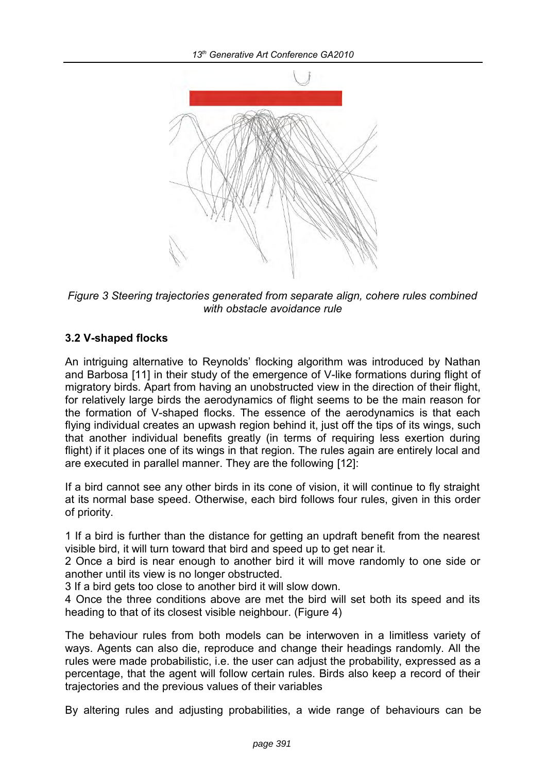*13th Generative Art Conference GA2010*



*Figure 3 Steering trajectories generated from separate align, cohere rules combined with obstacle avoidance rule*

### **3.2 V-shaped flocks**

An intriguing alternative to Reynolds' flocking algorithm was introduced by Nathan and Barbosa [11] in their study of the emergence of V-like formations during flight of migratory birds. Apart from having an unobstructed view in the direction of their flight, for relatively large birds the aerodynamics of flight seems to be the main reason for the formation of V-shaped flocks. The essence of the aerodynamics is that each flying individual creates an upwash region behind it, just off the tips of its wings, such that another individual benefits greatly (in terms of requiring less exertion during flight) if it places one of its wings in that region. The rules again are entirely local and are executed in parallel manner. They are the following [12]:

If a bird cannot see any other birds in its cone of vision, it will continue to fly straight at its normal base speed. Otherwise, each bird follows four rules, given in this order of priority.

1 If a bird is further than the distance for getting an updraft benefit from the nearest visible bird, it will turn toward that bird and speed up to get near it.

2 Once a bird is near enough to another bird it will move randomly to one side or another until its view is no longer obstructed.

3 If a bird gets too close to another bird it will slow down.

4 Once the three conditions above are met the bird will set both its speed and its heading to that of its closest visible neighbour. (Figure 4)

The behaviour rules from both models can be interwoven in a limitless variety of ways. Agents can also die, reproduce and change their headings randomly. All the rules were made probabilistic, i.e. the user can adjust the probability, expressed as a percentage, that the agent will follow certain rules. Birds also keep a record of their trajectories and the previous values of their variables

By altering rules and adjusting probabilities, a wide range of behaviours can be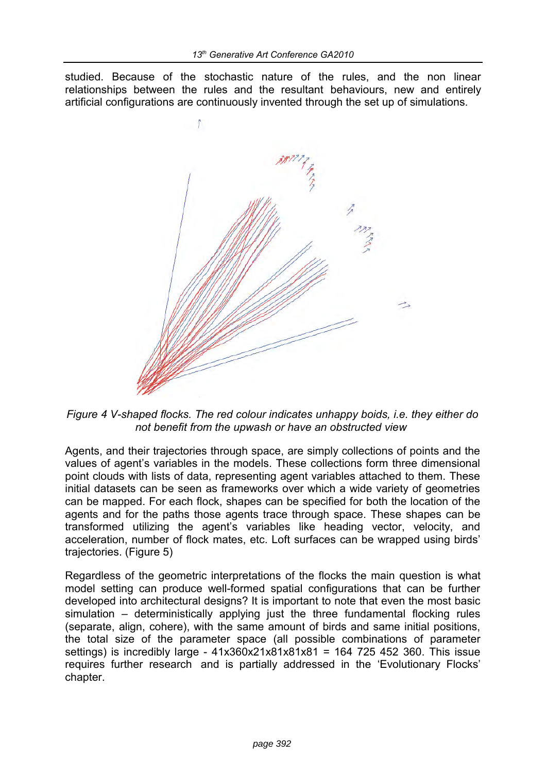studied. Because of the stochastic nature of the rules, and the non linear relationships between the rules and the resultant behaviours, new and entirely artificial configurations are continuously invented through the set up of simulations.



*Figure 4 V-shaped flocks. The red colour indicates unhappy boids, i.e. they either do not benefit from the upwash or have an obstructed view* 

Agents, and their trajectories through space, are simply collections of points and the values of agent's variables in the models. These collections form three dimensional point clouds with lists of data, representing agent variables attached to them. These initial datasets can be seen as frameworks over which a wide variety of geometries can be mapped. For each flock, shapes can be specified for both the location of the agents and for the paths those agents trace through space. These shapes can be transformed utilizing the agent's variables like heading vector, velocity, and acceleration, number of flock mates, etc. Loft surfaces can be wrapped using birds' trajectories. (Figure 5)

Regardless of the geometric interpretations of the flocks the main question is what model setting can produce well-formed spatial configurations that can be further developed into architectural designs? It is important to note that even the most basic simulation – deterministically applying just the three fundamental flocking rules (separate, align, cohere), with the same amount of birds and same initial positions, the total size of the parameter space (all possible combinations of parameter settings) is incredibly large - 41x360x21x81x81x81 = 164 725 452 360. This issue requires further research and is partially addressed in the 'Evolutionary Flocks' chapter.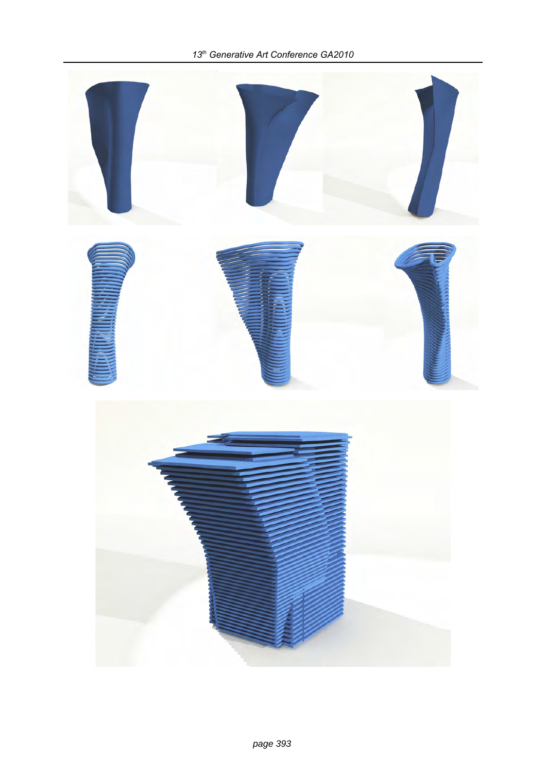*13th Generative Art Conference GA2010*

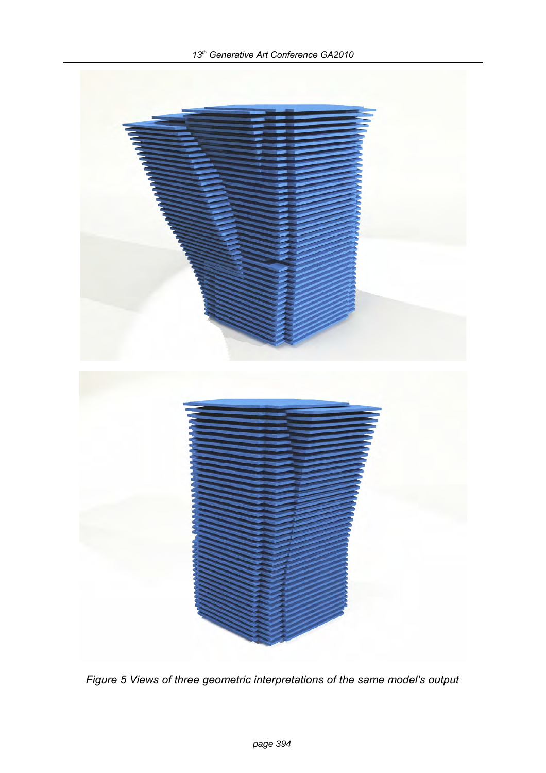

*Figure 5 Views of three geometric interpretations of the same model's output*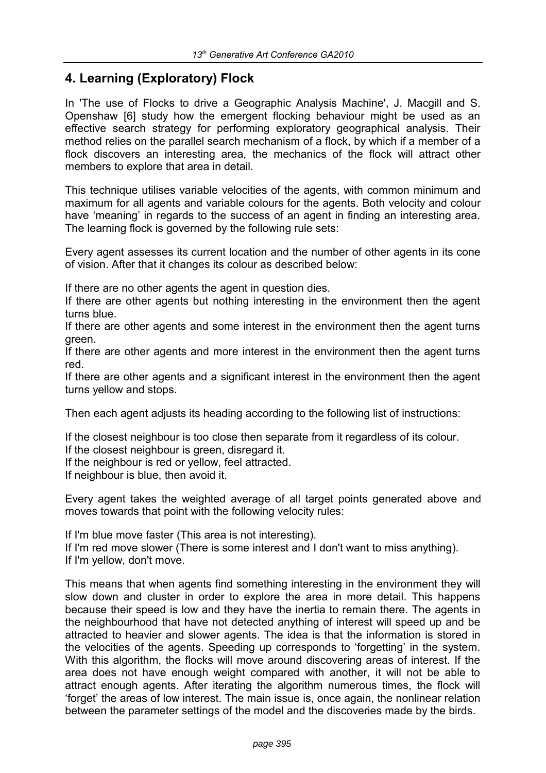## **4. Learning (Exploratory) Flock**

In 'The use of Flocks to drive a Geographic Analysis Machine', J. Macgill and S. Openshaw [6] study how the emergent flocking behaviour might be used as an effective search strategy for performing exploratory geographical analysis. Their method relies on the parallel search mechanism of a flock, by which if a member of a flock discovers an interesting area, the mechanics of the flock will attract other members to explore that area in detail.

This technique utilises variable velocities of the agents, with common minimum and maximum for all agents and variable colours for the agents. Both velocity and colour have 'meaning' in regards to the success of an agent in finding an interesting area. The learning flock is governed by the following rule sets:

Every agent assesses its current location and the number of other agents in its cone of vision. After that it changes its colour as described below:

If there are no other agents the agent in question dies.

If there are other agents but nothing interesting in the environment then the agent turns blue.

If there are other agents and some interest in the environment then the agent turns green.

If there are other agents and more interest in the environment then the agent turns red.

If there are other agents and a significant interest in the environment then the agent turns yellow and stops.

Then each agent adjusts its heading according to the following list of instructions:

If the closest neighbour is too close then separate from it regardless of its colour.

If the closest neighbour is green, disregard it.

If the neighbour is red or yellow, feel attracted.

If neighbour is blue, then avoid it.

Every agent takes the weighted average of all target points generated above and moves towards that point with the following velocity rules:

If I'm blue move faster (This area is not interesting).

If I'm red move slower (There is some interest and I don't want to miss anything). If I'm yellow, don't move.

This means that when agents find something interesting in the environment they will slow down and cluster in order to explore the area in more detail. This happens because their speed is low and they have the inertia to remain there. The agents in the neighbourhood that have not detected anything of interest will speed up and be attracted to heavier and slower agents. The idea is that the information is stored in the velocities of the agents. Speeding up corresponds to 'forgetting' in the system. With this algorithm, the flocks will move around discovering areas of interest. If the area does not have enough weight compared with another, it will not be able to attract enough agents. After iterating the algorithm numerous times, the flock will 'forget' the areas of low interest. The main issue is, once again, the nonlinear relation between the parameter settings of the model and the discoveries made by the birds.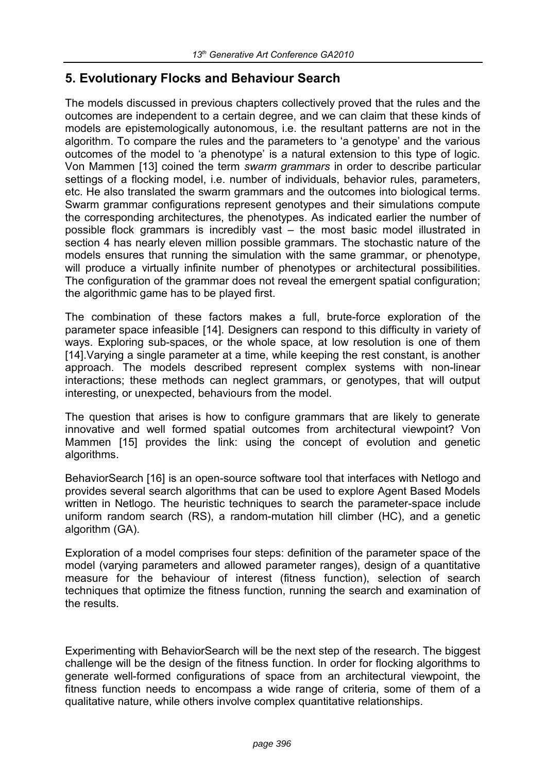## **5. Evolutionary Flocks and Behaviour Search**

The models discussed in previous chapters collectively proved that the rules and the outcomes are independent to a certain degree, and we can claim that these kinds of models are epistemologically autonomous, i.e. the resultant patterns are not in the algorithm. To compare the rules and the parameters to 'a genotype' and the various outcomes of the model to 'a phenotype' is a natural extension to this type of logic. Von Mammen [13] coined the term *swarm grammars* in order to describe particular settings of a flocking model, i.e. number of individuals, behavior rules, parameters, etc. He also translated the swarm grammars and the outcomes into biological terms. Swarm grammar configurations represent genotypes and their simulations compute the corresponding architectures, the phenotypes. As indicated earlier the number of possible flock grammars is incredibly vast – the most basic model illustrated in section 4 has nearly eleven million possible grammars. The stochastic nature of the models ensures that running the simulation with the same grammar, or phenotype, will produce a virtually infinite number of phenotypes or architectural possibilities. The configuration of the grammar does not reveal the emergent spatial configuration; the algorithmic game has to be played first.

The combination of these factors makes a full, brute-force exploration of the parameter space infeasible [14]. Designers can respond to this difficulty in variety of ways. Exploring sub-spaces, or the whole space, at low resolution is one of them [14].Varying a single parameter at a time, while keeping the rest constant, is another approach. The models described represent complex systems with non-linear interactions; these methods can neglect grammars, or genotypes, that will output interesting, or unexpected, behaviours from the model.

The question that arises is how to configure grammars that are likely to generate innovative and well formed spatial outcomes from architectural viewpoint? Von Mammen [15] provides the link: using the concept of evolution and genetic algorithms.

BehaviorSearch [16] is an open-source software tool that interfaces with Netlogo and provides several search algorithms that can be used to explore Agent Based Models written in Netlogo. The heuristic techniques to search the parameter-space include uniform random search (RS), a random-mutation hill climber (HC), and a genetic algorithm (GA).

Exploration of a model comprises four steps: definition of the parameter space of the model (varying parameters and allowed parameter ranges), design of a quantitative measure for the behaviour of interest (fitness function), selection of search techniques that optimize the fitness function, running the search and examination of the results.

Experimenting with BehaviorSearch will be the next step of the research. The biggest challenge will be the design of the fitness function. In order for flocking algorithms to generate well-formed configurations of space from an architectural viewpoint, the fitness function needs to encompass a wide range of criteria, some of them of a qualitative nature, while others involve complex quantitative relationships.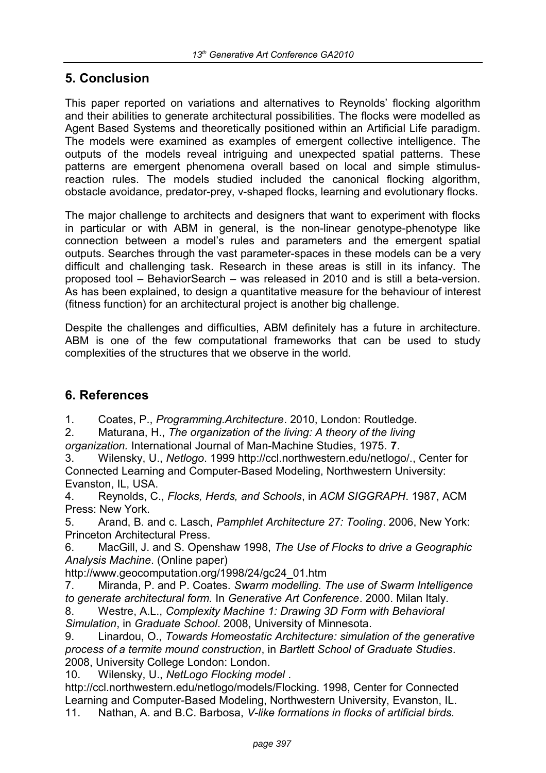## **5. Conclusion**

This paper reported on variations and alternatives to Reynolds' flocking algorithm and their abilities to generate architectural possibilities. The flocks were modelled as Agent Based Systems and theoretically positioned within an Artificial Life paradigm. The models were examined as examples of emergent collective intelligence. The outputs of the models reveal intriguing and unexpected spatial patterns. These patterns are emergent phenomena overall based on local and simple stimulusreaction rules. The models studied included the canonical flocking algorithm, obstacle avoidance, predator-prey, v-shaped flocks, learning and evolutionary flocks.

The major challenge to architects and designers that want to experiment with flocks in particular or with ABM in general, is the non-linear genotype-phenotype like connection between a model's rules and parameters and the emergent spatial outputs. Searches through the vast parameter-spaces in these models can be a very difficult and challenging task. Research in these areas is still in its infancy. The proposed tool – BehaviorSearch – was released in 2010 and is still a beta-version. As has been explained, to design a quantitative measure for the behaviour of interest (fitness function) for an architectural project is another big challenge.

Despite the challenges and difficulties, ABM definitely has a future in architecture. ABM is one of the few computational frameworks that can be used to study complexities of the structures that we observe in the world.

## **6. References**

1. Coates, P., *Programming.Architecture*. 2010, London: Routledge.

2. Maturana, H., *The organization of the living: A theory of the living* 

*organization.* International Journal of Man-Machine Studies, 1975. **7**.

3. Wilensky, U., *Netlogo*. 1999 http://ccl.northwestern.edu/netlogo/., Center for Connected Learning and Computer-Based Modeling, Northwestern University: Evanston, IL, USA.

4. Reynolds, C., *Flocks, Herds, and Schools*, in *ACM SIGGRAPH*. 1987, ACM Press: New York.

5. Arand, B. and c. Lasch, *Pamphlet Architecture 27: Tooling*. 2006, New York: Princeton Architectural Press.

6. MacGill, J. and S. Openshaw 1998, *The Use of Flocks to drive a Geographic Analysis Machine*. (Online paper)

http://www.geocomputation.org/1998/24/gc24\_01.htm

7. Miranda, P. and P. Coates. *Swarm modelling. The use of Swarm Intelligence to generate architectural form.* In *Generative Art Conference*. 2000. Milan Italy.

8. Westre, A.L., *Complexity Machine 1: Drawing 3D Form with Behavioral Simulation*, in *Graduate School*. 2008, University of Minnesota.

9. Linardou, O., *Towards Homeostatic Architecture: simulation of the generative process of a termite mound construction*, in *Bartlett School of Graduate Studies*. 2008, University College London: London.

10. Wilensky, U., *NetLogo Flocking model* .

http://ccl.northwestern.edu/netlogo/models/Flocking. 1998, Center for Connected Learning and Computer-Based Modeling, Northwestern University, Evanston, IL.

11. Nathan, A. and B.C. Barbosa, *V-like formations in flocks of artificial birds.*